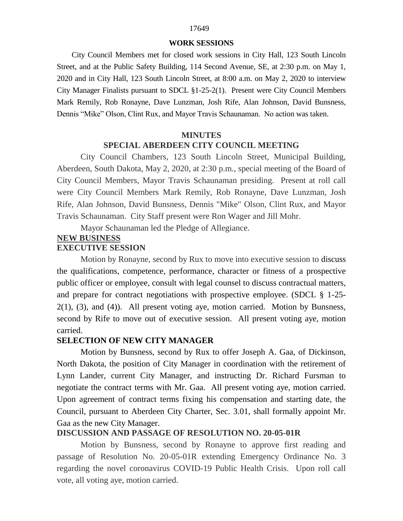# 17649

### **WORK SESSIONS**

City Council Members met for closed work sessions in City Hall, 123 South Lincoln Street, and at the Public Safety Building, 114 Second Avenue, SE, at 2:30 p.m. on May 1, 2020 and in City Hall, 123 South Lincoln Street, at 8:00 a.m. on May 2, 2020 to interview City Manager Finalists pursuant to SDCL §1-25-2(1). Present were City Council Members Mark Remily, Rob Ronayne, Dave Lunzman, Josh Rife, Alan Johnson, David Bunsness, Dennis "Mike" Olson, Clint Rux, and Mayor Travis Schaunaman. No action was taken.

### **MINUTES SPECIAL ABERDEEN CITY COUNCIL MEETING**

City Council Chambers, 123 South Lincoln Street, Municipal Building, Aberdeen, South Dakota, May 2, 2020, at 2:30 p.m., special meeting of the Board of City Council Members, Mayor Travis Schaunaman presiding. Present at roll call were City Council Members Mark Remily, Rob Ronayne, Dave Lunzman, Josh Rife, Alan Johnson, David Bunsness, Dennis "Mike" Olson, Clint Rux, and Mayor Travis Schaunaman. City Staff present were Ron Wager and Jill Mohr.

Mayor Schaunaman led the Pledge of Allegiance.

# **NEW BUSINESS**

# **EXECUTIVE SESSION**

Motion by Ronayne, second by Rux to move into executive session to discuss the qualifications, competence, performance, character or fitness of a prospective public officer or employee, consult with legal counsel to discuss contractual matters, and prepare for contract negotiations with prospective employee. (SDCL § 1-25-  $2(1)$ ,  $(3)$ , and  $(4)$ ). All present voting aye, motion carried. Motion by Bunsness, second by Rife to move out of executive session. All present voting aye, motion carried.

# **SELECTION OF NEW CITY MANAGER**

Motion by Bunsness, second by Rux to offer Joseph A. Gaa, of Dickinson, North Dakota, the position of City Manager in coordination with the retirement of Lynn Lander, current City Manager, and instructing Dr. Richard Fursman to negotiate the contract terms with Mr. Gaa. All present voting aye, motion carried. Upon agreement of contract terms fixing his compensation and starting date, the Council, pursuant to Aberdeen City Charter, Sec. 3.01, shall formally appoint Mr. Gaa as the new City Manager.

# **DISCUSSION AND PASSAGE OF RESOLUTION NO. 20-05-01R**

Motion by Bunsness, second by Ronayne to approve first reading and passage of Resolution No. 20-05-01R extending Emergency Ordinance No. 3 regarding the novel coronavirus COVID-19 Public Health Crisis. Upon roll call vote, all voting aye, motion carried.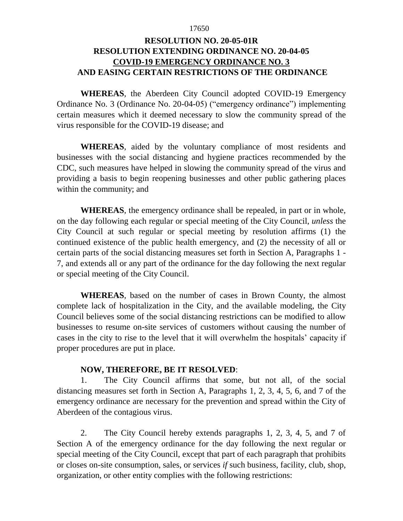#### 17650

# **RESOLUTION NO. 20-05-01R RESOLUTION EXTENDING ORDINANCE NO. 20-04-05 COVID-19 EMERGENCY ORDINANCE NO. 3 AND EASING CERTAIN RESTRICTIONS OF THE ORDINANCE**

**WHEREAS**, the Aberdeen City Council adopted COVID-19 Emergency Ordinance No. 3 (Ordinance No. 20-04-05) ("emergency ordinance") implementing certain measures which it deemed necessary to slow the community spread of the virus responsible for the COVID-19 disease; and

**WHEREAS**, aided by the voluntary compliance of most residents and businesses with the social distancing and hygiene practices recommended by the CDC, such measures have helped in slowing the community spread of the virus and providing a basis to begin reopening businesses and other public gathering places within the community; and

**WHEREAS**, the emergency ordinance shall be repealed, in part or in whole, on the day following each regular or special meeting of the City Council, *unless* the City Council at such regular or special meeting by resolution affirms (1) the continued existence of the public health emergency, and (2) the necessity of all or certain parts of the social distancing measures set forth in Section A, Paragraphs 1 - 7, and extends all or any part of the ordinance for the day following the next regular or special meeting of the City Council.

**WHEREAS**, based on the number of cases in Brown County, the almost complete lack of hospitalization in the City, and the available modeling, the City Council believes some of the social distancing restrictions can be modified to allow businesses to resume on-site services of customers without causing the number of cases in the city to rise to the level that it will overwhelm the hospitals' capacity if proper procedures are put in place.

# **NOW, THEREFORE, BE IT RESOLVED**:

1. The City Council affirms that some, but not all, of the social distancing measures set forth in Section A, Paragraphs 1, 2, 3, 4, 5, 6, and 7 of the emergency ordinance are necessary for the prevention and spread within the City of Aberdeen of the contagious virus.

2. The City Council hereby extends paragraphs 1, 2, 3, 4, 5, and 7 of Section A of the emergency ordinance for the day following the next regular or special meeting of the City Council, except that part of each paragraph that prohibits or closes on-site consumption, sales, or services *if* such business, facility, club, shop, organization, or other entity complies with the following restrictions: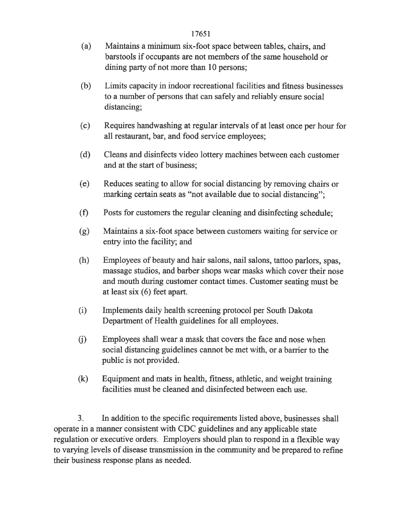- Maintains a minimum six-foot space between tables, chairs, and  $(a)$ barstools if occupants are not members of the same household or dining party of not more than 10 persons;
- $(b)$ Limits capacity in indoor recreational facilities and fitness businesses to a number of persons that can safely and reliably ensure social distancing;
- $(c)$ Requires handwashing at regular intervals of at least once per hour for all restaurant, bar, and food service employees;
- $(d)$ Cleans and disinfects video lottery machines between each customer and at the start of business;
- Reduces seating to allow for social distancing by removing chairs or  $(e)$ marking certain seats as "not available due to social distancing";
- $(f)$ Posts for customers the regular cleaning and disinfecting schedule;
- Maintains a six-foot space between customers waiting for service or (g) entry into the facility; and
- Employees of beauty and hair salons, nail salons, tattoo parlors, spas,  $(h)$ massage studios, and barber shops wear masks which cover their nose and mouth during customer contact times. Customer seating must be at least  $six(6)$  feet apart.
- $(i)$ Implements daily health screening protocol per South Dakota Department of Health guidelines for all employees.
- $(i)$ Employees shall wear a mask that covers the face and nose when social distancing guidelines cannot be met with, or a barrier to the public is not provided.
- $(k)$ Equipment and mats in health, fitness, athletic, and weight training facilities must be cleaned and disinfected between each use.

3. In addition to the specific requirements listed above, businesses shall operate in a manner consistent with CDC guidelines and any applicable state regulation or executive orders. Employers should plan to respond in a flexible way to varying levels of disease transmission in the community and be prepared to refine their business response plans as needed.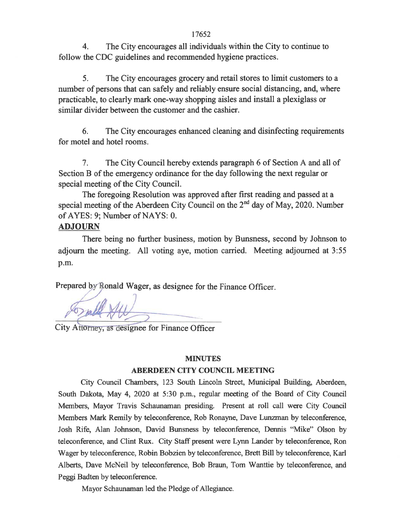The City encourages all individuals within the City to continue to  $\overline{4}$ . follow the CDC guidelines and recommended hygiene practices.

 $5<sub>1</sub>$ The City encourages grocery and retail stores to limit customers to a number of persons that can safely and reliably ensure social distancing, and, where practicable, to clearly mark one-way shopping aisles and install a plexiglass or similar divider between the customer and the cashier.

6. The City encourages enhanced cleaning and disinfecting requirements for motel and hotel rooms.

The City Council hereby extends paragraph 6 of Section A and all of 7. Section B of the emergency ordinance for the day following the next regular or special meeting of the City Council.

The foregoing Resolution was approved after first reading and passed at a special meeting of the Aberdeen City Council on the 2<sup>nd</sup> day of May, 2020. Number of AYES: 9; Number of NAYS: 0.

# **ADJOURN**

There being no further business, motion by Bunsness, second by Johnson to adjourn the meeting. All voting aye, motion carried. Meeting adjourned at 3:55 p.m.

Prepared by Ronald Wager, as designee for the Finance Officer.

City Attorney, as designee for Finance Officer

# **MINUTES**

# **ABERDEEN CITY COUNCIL MEETING**

City Council Chambers, 123 South Lincoln Street, Municipal Building, Aberdeen, South Dakota, May 4, 2020 at 5:30 p.m., regular meeting of the Board of City Council Members, Mayor Travis Schaunaman presiding. Present at roll call were City Council Members Mark Remily by teleconference, Rob Ronayne, Dave Lunzman by teleconference, Josh Rife, Alan Johnson, David Bunsness by teleconference, Dennis "Mike" Olson by teleconference, and Clint Rux. City Staff present were Lynn Lander by teleconference, Ron Wager by teleconference, Robin Bobzien by teleconference, Brett Bill by teleconference, Karl Alberts, Dave McNeil by teleconference, Bob Braun, Tom Wanttie by teleconference, and Peggi Badten by teleconference.

Mayor Schaunaman led the Pledge of Allegiance.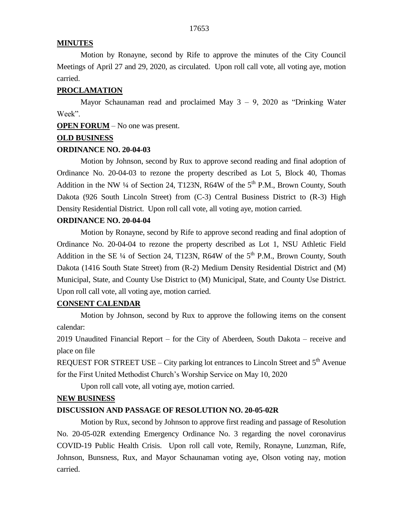### **MINUTES**

Motion by Ronayne, second by Rife to approve the minutes of the City Council Meetings of April 27 and 29, 2020, as circulated. Upon roll call vote, all voting aye, motion carried.

#### **PROCLAMATION**

Mayor Schaunaman read and proclaimed May  $3 - 9$ , 2020 as "Drinking Water" Week".

**OPEN FORUM** – No one was present.

#### **OLD BUSINESS**

#### **ORDINANCE NO. 20-04-03**

Motion by Johnson, second by Rux to approve second reading and final adoption of Ordinance No. 20-04-03 to rezone the property described as Lot 5, Block 40, Thomas Addition in the NW  $\frac{1}{4}$  of Section 24, T123N, R64W of the 5<sup>th</sup> P.M., Brown County, South Dakota (926 South Lincoln Street) from (C-3) Central Business District to (R-3) High Density Residential District. Upon roll call vote, all voting aye, motion carried.

### **ORDINANCE NO. 20-04-04**

Motion by Ronayne, second by Rife to approve second reading and final adoption of Ordinance No. 20-04-04 to rezone the property described as Lot 1, NSU Athletic Field Addition in the SE  $\frac{1}{4}$  of Section 24, T123N, R64W of the 5<sup>th</sup> P.M., Brown County, South Dakota (1416 South State Street) from (R-2) Medium Density Residential District and (M) Municipal, State, and County Use District to (M) Municipal, State, and County Use District. Upon roll call vote, all voting aye, motion carried.

# **CONSENT CALENDAR**

Motion by Johnson, second by Rux to approve the following items on the consent calendar:

2019 Unaudited Financial Report – for the City of Aberdeen, South Dakota – receive and place on file

REQUEST FOR STREET USE – City parking lot entrances to Lincoln Street and  $5<sup>th</sup>$  Avenue for the First United Methodist Church's Worship Service on May 10, 2020

Upon roll call vote, all voting aye, motion carried.

#### **NEW BUSINESS**

## **DISCUSSION AND PASSAGE OF RESOLUTION NO. 20-05-02R**

Motion by Rux, second by Johnson to approve first reading and passage of Resolution No. 20-05-02R extending Emergency Ordinance No. 3 regarding the novel coronavirus COVID-19 Public Health Crisis. Upon roll call vote, Remily, Ronayne, Lunzman, Rife, Johnson, Bunsness, Rux, and Mayor Schaunaman voting aye, Olson voting nay, motion carried.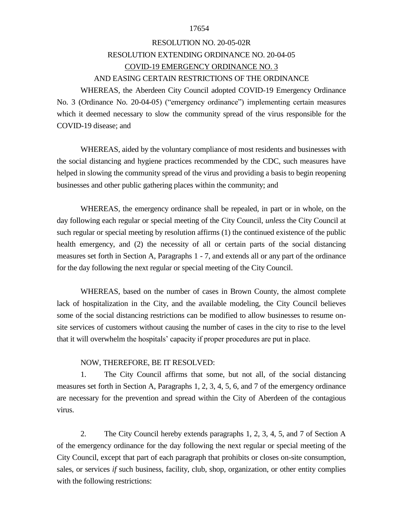#### 17654

# RESOLUTION NO. 20-05-02R RESOLUTION EXTENDING ORDINANCE NO. 20-04-05 COVID-19 EMERGENCY ORDINANCE NO. 3 AND EASING CERTAIN RESTRICTIONS OF THE ORDINANCE

WHEREAS, the Aberdeen City Council adopted COVID-19 Emergency Ordinance No. 3 (Ordinance No. 20-04-05) ("emergency ordinance") implementing certain measures which it deemed necessary to slow the community spread of the virus responsible for the COVID-19 disease; and

WHEREAS, aided by the voluntary compliance of most residents and businesses with the social distancing and hygiene practices recommended by the CDC, such measures have helped in slowing the community spread of the virus and providing a basis to begin reopening businesses and other public gathering places within the community; and

WHEREAS, the emergency ordinance shall be repealed, in part or in whole, on the day following each regular or special meeting of the City Council, *unless* the City Council at such regular or special meeting by resolution affirms (1) the continued existence of the public health emergency, and (2) the necessity of all or certain parts of the social distancing measures set forth in Section A, Paragraphs 1 - 7, and extends all or any part of the ordinance for the day following the next regular or special meeting of the City Council.

WHEREAS, based on the number of cases in Brown County, the almost complete lack of hospitalization in the City, and the available modeling, the City Council believes some of the social distancing restrictions can be modified to allow businesses to resume onsite services of customers without causing the number of cases in the city to rise to the level that it will overwhelm the hospitals' capacity if proper procedures are put in place.

#### NOW, THEREFORE, BE IT RESOLVED:

1. The City Council affirms that some, but not all, of the social distancing measures set forth in Section A, Paragraphs 1, 2, 3, 4, 5, 6, and 7 of the emergency ordinance are necessary for the prevention and spread within the City of Aberdeen of the contagious virus.

2. The City Council hereby extends paragraphs 1, 2, 3, 4, 5, and 7 of Section A of the emergency ordinance for the day following the next regular or special meeting of the City Council, except that part of each paragraph that prohibits or closes on-site consumption, sales, or services *if* such business, facility, club, shop, organization, or other entity complies with the following restrictions: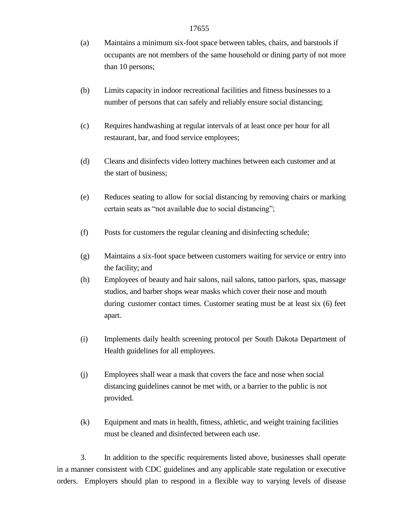- (a) Maintains a minimum six-foot space between tables, chairs, and barstools if occupants are not members of the same household or dining party of not more than 10 persons;
- (b) Limits capacity in indoor recreational facilities and fitness businesses to a number of persons that can safely and reliably ensure social distancing;
- (c) Requires handwashing at regular intervals of at least once per hour for all restaurant, bar, and food service employees;
- (d) Cleans and disinfects video lottery machines between each customer and at the start of business;
- (e) Reduces seating to allow for social distancing by removing chairs or marking certain seats as "not available due to social distancing";
- (f) Posts for customers the regular cleaning and disinfecting schedule;
- (g) Maintains a six-foot space between customers waiting for service or entry into the facility; and
- (h) Employees of beauty and hair salons, nail salons, tattoo parlors, spas, massage studios, and barber shops wear masks which cover their nose and mouth during customer contact times. Customer seating must be at least six (6) feet apart.
- (i) Implements daily health screening protocol per South Dakota Department of Health guidelines for all employees.
- (j) Employees shall wear a mask that covers the face and nose when social distancing guidelines cannot be met with, or a barrier to the public is not provided.
- (k) Equipment and mats in health, fitness, athletic, and weight training facilities must be cleaned and disinfected between each use.

3. In addition to the specific requirements listed above, businesses shall operate in a manner consistent with CDC guidelines and any applicable state regulation or executive orders. Employers should plan to respond in a flexible way to varying levels of disease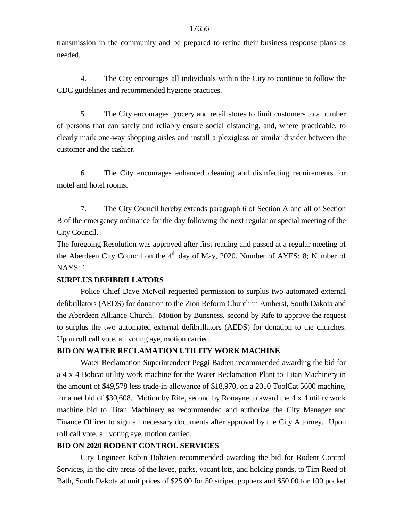transmission in the community and be prepared to refine their business response plans as needed.

4. The City encourages all individuals within the City to continue to follow the CDC guidelines and recommended hygiene practices.

5. The City encourages grocery and retail stores to limit customers to a number of persons that can safely and reliably ensure social distancing, and, where practicable, to clearly mark one-way shopping aisles and install a plexiglass or similar divider between the customer and the cashier.

6. The City encourages enhanced cleaning and disinfecting requirements for motel and hotel rooms.

7. The City Council hereby extends paragraph 6 of Section A and all of Section B of the emergency ordinance for the day following the next regular or special meeting of the City Council.

The foregoing Resolution was approved after first reading and passed at a regular meeting of the Aberdeen City Council on the 4<sup>th</sup> day of May, 2020. Number of AYES: 8; Number of NAYS: 1.

### **SURPLUS DEFIBRILLATORS**

Police Chief Dave McNeil requested permission to surplus two automated external defibrillators (AEDS) for donation to the Zion Reform Church in Amherst, South Dakota and the Aberdeen Alliance Church. Motion by Bunsness, second by Rife to approve the request to surplus the two automated external defibrillators (AEDS) for donation to the churches. Upon roll call vote, all voting aye, motion carried.

### **BID ON WATER RECLAMATION UTILITY WORK MACHINE**

Water Reclamation Superintendent Peggi Badten recommended awarding the bid for a 4 x 4 Bobcat utility work machine for the Water Reclamation Plant to Titan Machinery in the amount of \$49,578 less trade-in allowance of \$18,970, on a 2010 ToolCat 5600 machine, for a net bid of \$30,608. Motion by Rife, second by Ronayne to award the 4 x 4 utility work machine bid to Titan Machinery as recommended and authorize the City Manager and Finance Officer to sign all necessary documents after approval by the City Attorney. Upon roll call vote, all voting aye, motion carried.

# **BID ON 2020 RODENT CONTROL SERVICES**

City Engineer Robin Bobzien recommended awarding the bid for Rodent Control Services, in the city areas of the levee, parks, vacant lots, and holding ponds, to Tim Reed of Bath, South Dakota at unit prices of \$25.00 for 50 striped gophers and \$50.00 for 100 pocket